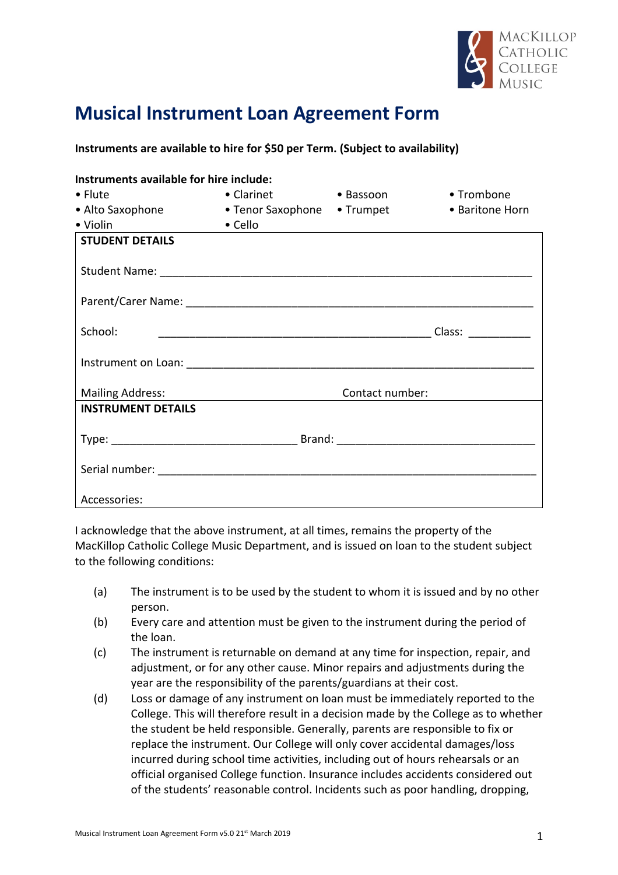

## **Musical Instrument Loan Agreement Form**

## **Instruments are available to hire for \$50 per Term. (Subject to availability)**

| Instruments available for hire include: |                             |           |                 |
|-----------------------------------------|-----------------------------|-----------|-----------------|
| $\bullet$ Flute                         | • Clarinet                  | • Bassoon | • Trombone      |
| • Alto Saxophone                        | • Tenor Saxophone • Trumpet |           | • Baritone Horn |
| <u> 1990 - Jan Jawa</u><br>• Violin     | $\bullet$ Cello             |           |                 |
| <b>STUDENT DETAILS</b>                  |                             |           |                 |
|                                         |                             |           |                 |
|                                         |                             |           |                 |
| School:                                 |                             |           |                 |
|                                         |                             |           |                 |
| <b>Mailing Address:</b>                 | Contact number:             |           |                 |
| <b>INSTRUMENT DETAILS</b>               |                             |           |                 |
|                                         |                             |           |                 |
|                                         |                             |           |                 |
| Accessories:                            |                             |           |                 |

I acknowledge that the above instrument, at all times, remains the property of the MacKillop Catholic College Music Department, and is issued on loan to the student subject to the following conditions:

- (a) The instrument is to be used by the student to whom it is issued and by no other person.
- (b) Every care and attention must be given to the instrument during the period of the loan.
- (c) The instrument is returnable on demand at any time for inspection, repair, and adjustment, or for any other cause. Minor repairs and adjustments during the year are the responsibility of the parents/guardians at their cost.
- (d) Loss or damage of any instrument on loan must be immediately reported to the College. This will therefore result in a decision made by the College as to whether the student be held responsible. Generally, parents are responsible to fix or replace the instrument. Our College will only cover accidental damages/loss incurred during school time activities, including out of hours rehearsals or an official organised College function. Insurance includes accidents considered out of the students' reasonable control. Incidents such as poor handling, dropping,